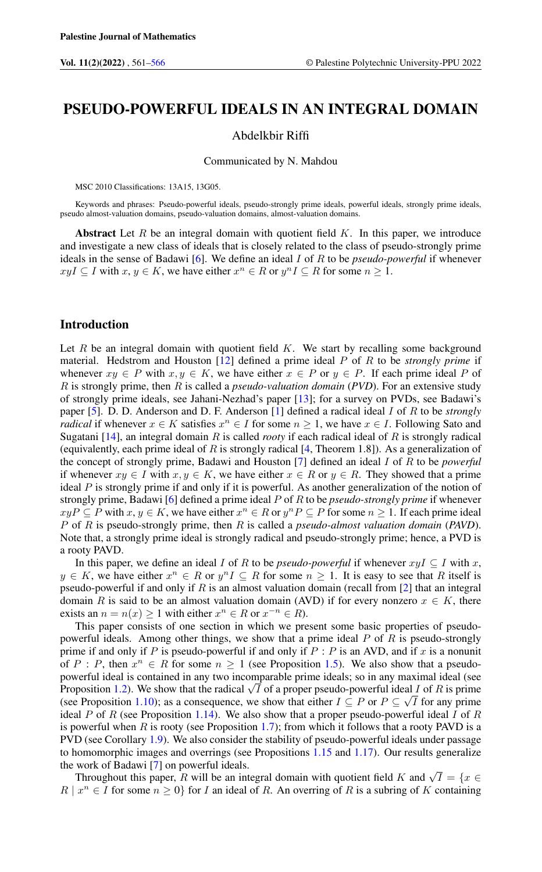# PSEUDO-POWERFUL IDEALS IN AN INTEGRAL DOMAIN

# Abdelkbir Riffi

Communicated by N. Mahdou

MSC 2010 Classifications: 13A15, 13G05.

Keywords and phrases: Pseudo-powerful ideals, pseudo-strongly prime ideals, powerful ideals, strongly prime ideals, pseudo almost-valuation domains, pseudo-valuation domains, almost-valuation domains.

Abstract Let  $R$  be an integral domain with quotient field  $K$ . In this paper, we introduce and investigate a new class of ideals that is closely related to the class of pseudo-strongly prime ideals in the sense of Badawi [\[6\]](#page-4-1). We define an ideal I of R to be *pseudo-powerful* if whenever  $xyI \subseteq I$  with  $x, y \in K$ , we have either  $x^n \in R$  or  $y^nI \subseteq R$  for some  $n \ge 1$ .

#### Introduction

Let  $R$  be an integral domain with quotient field  $K$ . We start by recalling some background material. Hedstrom and Houston [\[12\]](#page-4-2) defined a prime ideal P of R to be *strongly prime* if whenever  $xy \in P$  with  $x, y \in K$ , we have either  $x \in P$  or  $y \in P$ . If each prime ideal P of R is strongly prime, then R is called a *pseudo-valuation domain* (*PVD*). For an extensive study of strongly prime ideals, see Jahani-Nezhad's paper [\[13\]](#page-4-3); for a survey on PVDs, see Badawi's paper [\[5\]](#page-4-4). D. D. Anderson and D. F. Anderson [\[1\]](#page-4-5) defined a radical ideal I of R to be *strongly radical* if whenever  $x \in K$  satisfies  $x^n \in I$  for some  $n \geq 1$ , we have  $x \in I$ . Following Sato and Sugatani [\[14\]](#page-4-6), an integral domain R is called *rooty* if each radical ideal of R is strongly radical (equivalently, each prime ideal of R is strongly radical  $[4,$  Theorem 1.8]). As a generalization of the concept of strongly prime, Badawi and Houston [\[7\]](#page-4-8) defined an ideal I of R to be *powerful* if whenever  $xy \in I$  with  $x, y \in K$ , we have either  $x \in R$  or  $y \in R$ . They showed that a prime ideal  $P$  is strongly prime if and only if it is powerful. As another generalization of the notion of strongly prime, Badawi [\[6\]](#page-4-1) defined a prime ideal P of R to be *pseudo-strongly prime* if whenever  $xyP \subseteq P$  with  $x, y \in K$ , we have either  $x^n \in R$  or  $y^nP \subseteq P$  for some  $n \ge 1$ . If each prime ideal P of R is pseudo-strongly prime, then R is called a *pseudo-almost valuation domain* (*PAVD*). Note that, a strongly prime ideal is strongly radical and pseudo-strongly prime; hence, a PVD is a rooty PAVD.

In this paper, we define an ideal I of R to be *pseudo-powerful* if whenever  $x \in I$  with x,  $y \in K$ , we have either  $x^n \in R$  or  $y^n I \subseteq R$  for some  $n \ge 1$ . It is easy to see that R itself is pseudo-powerful if and only if R is an almost valuation domain (recall from  $[2]$  that an integral domain R is said to be an almost valuation domain (AVD) if for every nonzero  $x \in K$ , there exists an  $n = n(x) \ge 1$  with either  $x^n \in R$  or  $x^{-n} \in R$ ).

This paper consists of one section in which we present some basic properties of pseudopowerful ideals. Among other things, we show that a prime ideal  $P$  of  $R$  is pseudo-strongly prime if and only if P is pseudo-powerful if and only if  $P : P$  is an AVD, and if x is a nonunit of P : P, then  $x^n \in R$  for some  $n \ge 1$  (see Proposition [1.5\)](#page-2-0). We also show that a pseudopowerful ideal is contained in any two incomparable prime ideals; so in any maximal ideal (see powerful ideal is contained in any two incomparable prime ideals; so in any maximal ideal (see<br>Proposition [1.2\)](#page-1-0). We show that the radical  $\sqrt{I}$  of a proper pseudo-powerful ideal I of R is prime (see Proposition [1.10\)](#page-3-0); as a consequence, we show that either  $I \subseteq P$  or  $P \subseteq \sqrt{I}$  for any prime ideal P of R (see Proposition [1.14\)](#page-3-1). We also show that a proper pseudo-powerful ideal I of R is powerful when  $R$  is rooty (see Proposition [1.7\)](#page-2-1); from which it follows that a rooty PAVD is a PVD (see Corollary [1.9\)](#page-3-2). We also consider the stability of pseudo-powerful ideals under passage to homomorphic images and overrings (see Propositions [1.15](#page-4-10) and [1.17\)](#page-4-11). Our results generalize the work of Badawi [\[7\]](#page-4-8) on powerful ideals.

work or Badawi [/] on powerful ideals.<br>Throughout this paper, R will be an integral domain with quotient field K and  $\sqrt{I} = \{x \in I\}$  $R \mid x^n \in I$  for some  $n \geq 0$  for I an ideal of R. An overring of R is a subring of K containing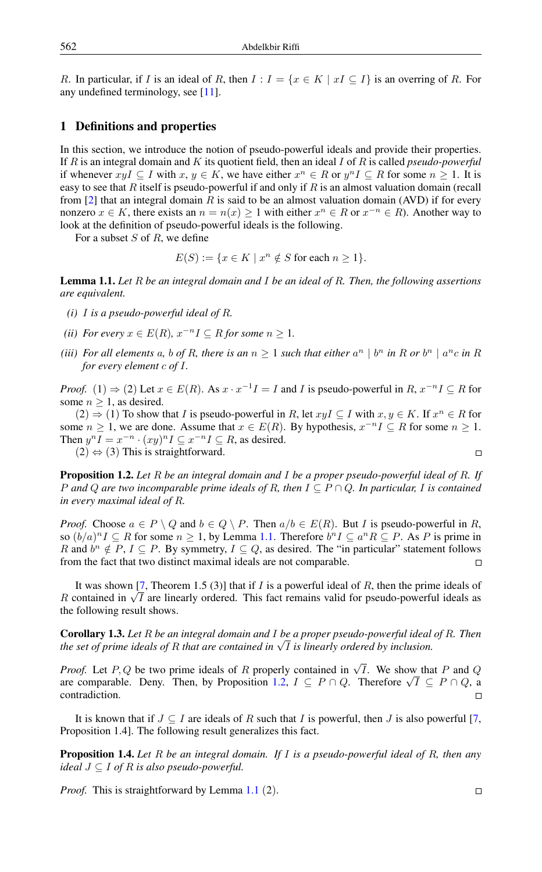R. In particular, if I is an ideal of R, then  $I: I = \{x \in K \mid xI \subseteq I\}$  is an overring of R. For any undefined terminology, see [\[11\]](#page-4-12).

# 1 Definitions and properties

In this section, we introduce the notion of pseudo-powerful ideals and provide their properties. If R is an integral domain and K its quotient field, then an ideal I of R is called *pseudo-powerful* if whenever  $xyI \subseteq I$  with  $x, y \in K$ , we have either  $x^n \in R$  or  $y^nI \subseteq R$  for some  $n \ge 1$ . It is easy to see that R itself is pseudo-powerful if and only if R is an almost valuation domain (recall from [\[2\]](#page-4-9) that an integral domain R is said to be an almost valuation domain (AVD) if for every nonzero  $x \in K$ , there exists an  $n = n(x) \ge 1$  with either  $x^n \in R$  or  $x^{-n} \in R$ ). Another way to look at the definition of pseudo-powerful ideals is the following.

For a subset  $S$  of  $R$ , we define

 $E(S) := \{x \in K \mid x^n \notin S \text{ for each } n \geq 1\}.$ 

<span id="page-1-1"></span>Lemma 1.1. *Let* R *be an integral domain and* I *be an ideal of* R*. Then, the following assertions are equivalent.*

- *(i)* I *is a pseudo-powerful ideal of* R*.*
- *(ii) For every*  $x \in E(R)$ ,  $x^{-n}I \subseteq R$  *for some*  $n \geq 1$ *.*
- *(iii)* For all elements a, b of R, there is an  $n \geq 1$  such that either  $a^n \mid b^n$  in R or  $b^n \mid a^n c$  in R *for every element* c *of* I*.*

*Proof.* (1)  $\Rightarrow$  (2) Let  $x \in E(R)$ . As  $x \cdot x^{-1}I = I$  and *I* is pseudo-powerful in  $R, x^{-n}I \subseteq R$  for some  $n \geq 1$ , as desired.

 $(2) \Rightarrow (1)$  To show that I is pseudo-powerful in R, let  $xyI \subseteq I$  with  $x, y \in K$ . If  $x^n \in R$  for some  $n \geq 1$ , we are done. Assume that  $x \in E(R)$ . By hypothesis,  $x^{-n}I \subseteq R$  for some  $n \geq 1$ . Then  $y^n I = x^{-n} \cdot (xy)^n I \subseteq x^{-n} I \subseteq R$ , as desired.

 $(2) \Leftrightarrow (3)$  This is straightforward.

<span id="page-1-0"></span>Proposition 1.2. *Let* R *be an integral domain and* I *be a proper pseudo-powerful ideal of* R*. If* P and Q are two incomparable prime ideals of R, then  $I \subseteq P \cap Q$ . In particular, I is contained *in every maximal ideal of* R*.*

*Proof.* Choose  $a \in P \setminus Q$  and  $b \in Q \setminus P$ . Then  $a/b \in E(R)$ . But *I* is pseudo-powerful in *R*, so  $(b/a)^n I \subseteq R$  for some  $n \ge 1$ , by Lemma [1.1.](#page-1-1) Therefore  $b^n I \subseteq a^n R \subseteq P$ . As P is prime in R and  $b^n \notin P$ ,  $I \subseteq P$ . By symmetry,  $I \subseteq Q$ , as desired. The "in particular" statement follows from the fact that two distinct maximal ideals are not comparable.  $\Box$ 

It was shown [\[7,](#page-4-8) Theorem 1.5 (3)] that if I is a powerful ideal of R, then the prime ideals of It was shown [*i*, Theorem 1.5 (5)] that If *I* is a powerful ideal of *R*, then the prime ideals of *R* contained in  $\sqrt{I}$  are linearly ordered. This fact remains valid for pseudo-powerful ideals as the following result shows.

Corollary 1.3. *Let* R *be an integral domain and* I *be a proper pseudo-powerful ideal of* R*. Then* **Coronary 1.5.** Let K be an integral aomain and 1 be a proper pseuao-powerful ideal<br>the set of prime ideals of R that are contained in √I is linearly ordered by inclusion.

*Proof.* Let P, Q be two prime ideals of R properly contained in  $\sqrt{I}$ . We show that P and Q *Proof.* Let P, Q be two prime ideals or R properly contained in  $\sqrt{I}$ . We show that P and Q are comparable. Deny. Then, by Proposition [1.2,](#page-1-0)  $I \subseteq P \cap Q$ . Therefore  $\sqrt{I} \subseteq P \cap Q$ , a contradiction.  $\Box$ 

It is known that if  $J \subseteq I$  are ideals of R such that I is powerful, then J is also powerful [\[7,](#page-4-8) Proposition 1.4]. The following result generalizes this fact.

<span id="page-1-2"></span>Proposition 1.4. *Let* R *be an integral domain. If* I *is a pseudo-powerful ideal of* R*, then any ideal* J ⊆ I *of* R *is also pseudo-powerful.*

*Proof.* This is straightforward by Lemma [1.1](#page-1-1) (2).

$$
\Box
$$

 $\Box$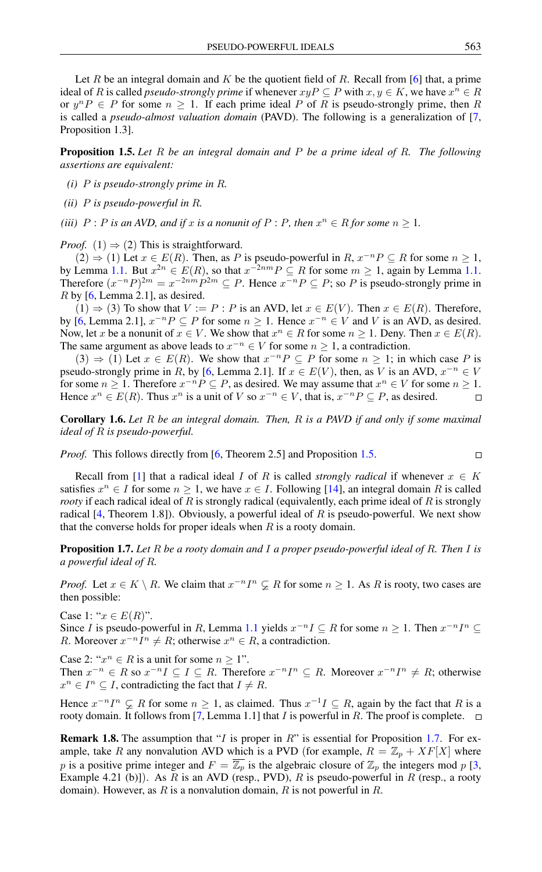Let R be an integral domain and K be the quotient field of R. Recall from [\[6\]](#page-4-1) that, a prime ideal of R is called *pseudo-strongly prime* if whenever  $xyP \subseteq P$  with  $x, y \in K$ , we have  $x^n \in R$ or  $y^n P \in P$  for some  $n \ge 1$ . If each prime ideal P of R is pseudo-strongly prime, then R is called a *pseudo-almost valuation domain* (PAVD). The following is a generalization of [\[7,](#page-4-8) Proposition 1.3].

<span id="page-2-0"></span>Proposition 1.5. *Let* R *be an integral domain and* P *be a prime ideal of* R*. The following assertions are equivalent:*

- *(i)* P *is pseudo-strongly prime in* R*.*
- *(ii)* P *is pseudo-powerful in* R*.*

*(iii)*  $P : P$  *is an AVD, and if* x *is a nonunit of*  $P : P$ *, then*  $x^n \in R$  *for some*  $n \geq 1$ *.* 

*Proof.* (1)  $\Rightarrow$  (2) This is straightforward.

 $(2) \Rightarrow (1)$  Let  $x \in E(R)$ . Then, as P is pseudo-powerful in  $R, x^{-n}P \subseteq R$  for some  $n \ge 1$ , by Lemma [1.1.](#page-1-1) But  $x^{2n} \in E(R)$ , so that  $x^{-2nm}P \subseteq R$  for some  $m \ge 1$ , again by Lemma 1.1. Therefore  $(x^{-n}P)^{2m} = x^{-2nm}P^{2m} \subseteq P$ . Hence  $x^{-n}P \subseteq P$ ; so P is pseudo-strongly prime in  $R$  by [\[6,](#page-4-1) Lemma 2.1], as desired.

 $(1) \Rightarrow (3)$  To show that  $V := P : P$  is an AVD, let  $x \in E(V)$ . Then  $x \in E(R)$ . Therefore, by [\[6,](#page-4-1) Lemma 2.1],  $x^{-n}P \subseteq P$  for some  $n \ge 1$ . Hence  $x^{-n} \in V$  and V is an AVD, as desired. Now, let x be a nonunit of  $x \in V$ . We show that  $x^n \in R$  for some  $n \ge 1$ . Deny. Then  $x \in E(R)$ . The same argument as above leads to  $x^{-n} \in V$  for some  $n \geq 1$ , a contradiction.

 $(3) \Rightarrow (1)$  Let  $x \in E(R)$ . We show that  $x^{-n}P \subseteq P$  for some  $n \ge 1$ ; in which case P is pseudo-strongly prime in R, by [\[6,](#page-4-1) Lemma 2.1]. If  $x \in E(V)$ , then, as V is an AVD,  $x^{-n} \in V$ for some  $n \geq 1$ . Therefore  $x^{-n}P \subseteq P$ , as desired. We may assume that  $x^n \in V$  for some  $n \geq 1$ . Hence  $x^n \in E(R)$ . Thus  $x^n$  is a unit of V so  $x^{-n} \in V$ , that is,  $x^{-n}P \subseteq P$ , as desired.  $\Box$ 

Corollary 1.6. *Let* R *be an integral domain. Then,* R *is a PAVD if and only if some maximal ideal of* R *is pseudo-powerful.*

*Proof.* This follows directly from [\[6,](#page-4-1) Theorem 2.5] and Proposition [1.5.](#page-2-0)

$$
\Box
$$

Recall from [\[1\]](#page-4-5) that a radical ideal I of R is called *strongly radical* if whenever  $x \in K$ satisfies  $x^n \in I$  for some  $n \geq 1$ , we have  $x \in I$ . Following [\[14\]](#page-4-6), an integral domain R is called *rooty* if each radical ideal of R is strongly radical (equivalently, each prime ideal of R is strongly radical  $[4,$  Theorem 1.8]). Obviously, a powerful ideal of R is pseudo-powerful. We next show that the converse holds for proper ideals when  $R$  is a rooty domain.

<span id="page-2-1"></span>Proposition 1.7. *Let* R *be a rooty domain and* I *a proper pseudo-powerful ideal of* R*. Then* I *is a powerful ideal of* R*.*

*Proof.* Let  $x \in K \setminus R$ . We claim that  $x^{-n}I^n \subsetneq R$  for some  $n \geq 1$ . As R is rooty, two cases are then possible:

Case 1: " $x \in E(R)$ ".

Since I is pseudo-powerful in R, Lemma [1.1](#page-1-1) yields  $x^{-n} \subseteq R$  for some  $n \ge 1$ . Then  $x^{-n} \subseteq \subseteq R$ R. Moreover  $x^{-n}I^n \neq R$ ; otherwise  $x^n \in R$ , a contradiction.

Case 2: " $x^n \in R$  is a unit for some  $n \ge 1$ ".

Then  $x^{-n} \in R$  so  $x^{-n}I \subseteq I \subseteq R$ . Therefore  $x^{-n}I^n \subseteq R$ . Moreover  $x^{-n}I^n \neq R$ ; otherwise  $x^n \in I^n \subseteq I$ , contradicting the fact that  $I \neq R$ .

Hence  $x^{-n}I^n \subsetneq R$  for some  $n \geq 1$ , as claimed. Thus  $x^{-1}I \subseteq R$ , again by the fact that R is a rooty domain. It follows from [\[7,](#page-4-8) Lemma 1.1] that I is powerful in R. The proof is complete.  $\Box$ 

**Remark 1.8.** The assumption that "I is proper in  $R$ " is essential for Proposition [1.7.](#page-2-1) For example, take R any nonvalution AVD which is a PVD (for example,  $R = \mathbb{Z}_p + XF[X]$  where p is a positive prime integer and  $F = \overline{\mathbb{Z}_p}$  is the algebraic closure of  $\mathbb{Z}_p$  the integers mod p [\[3,](#page-4-13) Example 4.21 (b)]). As R is an AVD (resp., PVD), R is pseudo-powerful in R (resp., a rooty domain). However, as R is a nonvalution domain, R is not powerful in R.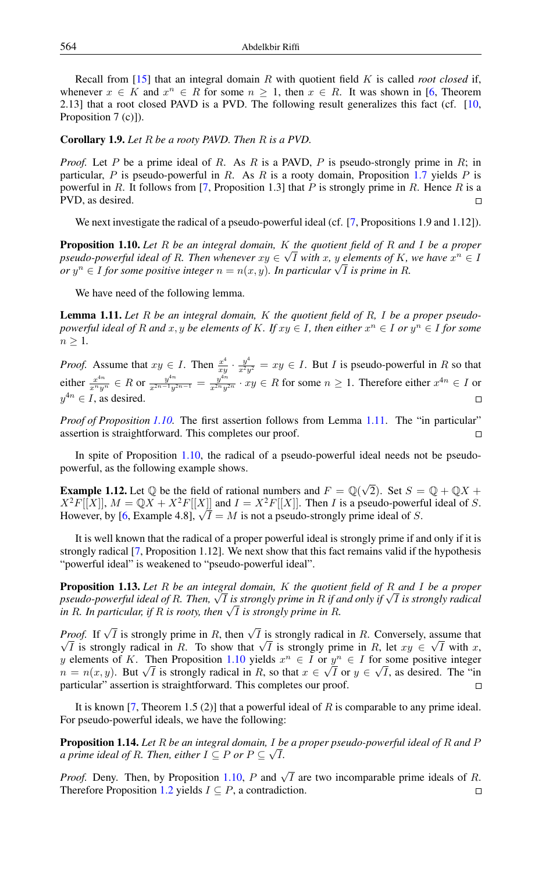Recall from [\[15\]](#page-4-14) that an integral domain R with quotient field K is called *root closed* if, whenever  $x \in K$  and  $x^n \in R$  for some  $n \geq 1$ , then  $x \in R$ . It was shown in [\[6,](#page-4-1) Theorem 2.13] that a root closed PAVD is a PVD. The following result generalizes this fact (cf. [\[10,](#page-4-15) Proposition 7 (c)]).

<span id="page-3-2"></span>Corollary 1.9. *Let* R *be a rooty PAVD. Then* R *is a PVD.*

*Proof.* Let P be a prime ideal of R. As R is a PAVD, P is pseudo-strongly prime in R; in particular,  $P$  is pseudo-powerful in  $R$ . As  $R$  is a rooty domain, Proposition [1.7](#page-2-1) yields  $P$  is powerful in R. It follows from [\[7,](#page-4-8) Proposition 1.3] that P is strongly prime in R. Hence R is a PVD, as desired.  $\Box$ 

We next investigate the radical of a pseudo-powerful ideal (cf. [\[7,](#page-4-8) Propositions 1.9 and 1.12]).

<span id="page-3-0"></span>**Proposition 1.10.** *Let* R *be an integral domain,* K *the quotient field of* R *and* I *be a proper* pseudo-powerful ideal of R. Then whenever  $xy \in \sqrt{I}$  with x, y elements of K, we have  $x^n \in I$ *or* y<sup>n</sup> ∈ I for some positive integer  $n = n(x, y)$ . In particular  $\sqrt{I}$  is prime in R.<br>*or* y<sup>n</sup> ∈ I for some positive integer  $n = n(x, y)$ . In particular  $\sqrt{I}$  is prime in R.

We have need of the following lemma.

<span id="page-3-3"></span>Lemma 1.11. *Let* R *be an integral domain,* K *the quotient field of* R*,* I *be a proper pseudopowerful ideal of* R and  $x, y$  be elements of K. If  $xy \in I$ , then either  $x^n \in I$  or  $y^n \in I$  for some  $n \geq 1$ .

*Proof.* Assume that  $xy \in I$ . Then  $\frac{x^4}{xy}$  $\frac{x^4}{xy} \cdot \frac{y^4}{x^2y^2} = xy \in I$ . But *I* is pseudo-powerful in *R* so that either  $\frac{x^{4n}}{x^ny^{n}} \in R$  or  $\frac{y^{4n}}{x^{2n-1}y^{2n-1}} = \frac{y^{4n}}{x^{2n}y^{2n}} \cdot xy \in R$  for some  $n \ge 1$ . Therefore either  $x^{4n} \in I$  or  $y^{4n} \in I$ , as desired.  $\Box$ 

*Proof of Proposition* [1.10.](#page-3-0) The first assertion follows from Lemma [1.11.](#page-3-3) The "in particular" assertion is straightforward. This completes our proof.  $\Box$ 

In spite of Proposition [1.10,](#page-3-0) the radical of a pseudo-powerful ideal needs not be pseudopowerful, as the following example shows.

**Example 1.12.** Let  $\mathbb Q$  be the field of rational numbers and  $F = \mathbb Q(\sqrt{2})$ . Set  $S = \mathbb Q + \mathbb QX$  +  $X^2F[[X]]$ ,  $M = \mathbb{Q}X + X^2F[[X]]$  and  $I = X^2F[[X]]$ . Then I is a pseudo-powerful ideal of S.  $X^T F[[X]], M = \mathbb{Q}X + X^T F[[X]]$  and  $I = X^T F[[X]]$ . Then *I* is a pseudo-powern<br>However, by [\[6,](#page-4-1) Example 4.8],  $\sqrt{I} = M$  is not a pseudo-strongly prime ideal of *S*.

It is well known that the radical of a proper powerful ideal is strongly prime if and only if it is strongly radical [\[7,](#page-4-8) Proposition 1.12]. We next show that this fact remains valid if the hypothesis "powerful ideal" is weakened to "pseudo-powerful ideal".

Proposition 1.13. *Let* R *be an integral domain,* K *the quotient field of* R *and* I *be a proper* **Proposition 1.15.** Let *K* be an integral aomain, *K* ine quotient jield of *K* and 1 be a proper<br>pseudo-powerful ideal of R. Then, √I is strongly prime in R if and only if √I is strongly radical *pseuao-powerful laeal of R. 1 nen,* √ *1 is strongly prime in R if a in R. In particular, if R is rooty, then* √*T is strongly prime in R.* 

*Proof.* If  $\sqrt{I}$  is strongly prime in R, then  $\sqrt{I}$  is strongly radical in R. Conversely, assume that *Fool.* If  $\sqrt{I}$  is strongly prime in R, then  $\sqrt{I}$  is strongly radical in R. Conversely, assume that  $\sqrt{I}$  is strongly prime in R, let  $xy \in \sqrt{I}$  with x, y elements of K. Then Proposition [1.10](#page-3-0) yields  $x^n \in I$  or  $y^n \in I$  for some positive integer y elements or K. Then Proposition 1.10 yields  $x^0 \in I$  or  $y^0 \in I$  for some positive integer  $n = n(x, y)$ . But  $\sqrt{I}$  is strongly radical in R, so that  $x \in \sqrt{I}$  or  $y \in \sqrt{I}$ , as desired. The "in particular" assertion is straightforward. This completes our proof.

It is known [\[7,](#page-4-8) Theorem 1.5 (2)] that a powerful ideal of  $R$  is comparable to any prime ideal. For pseudo-powerful ideals, we have the following:

<span id="page-3-1"></span>**Proposition 1.14.** Let R be an integral domain, I be a proper pseudo-powerful ideal of R and P *a prime ideal of R. Then, either*  $I \subseteq P$  *or*  $P \subseteq \sqrt{I}$ *.* 

*Proof.* Deny. Then, by Proposition [1.10,](#page-3-0) P and  $\sqrt{I}$  are two incomparable prime ideals of R. Therefore Proposition [1.2](#page-1-0) yields  $I \subseteq P$ , a contradiction.  $\Box$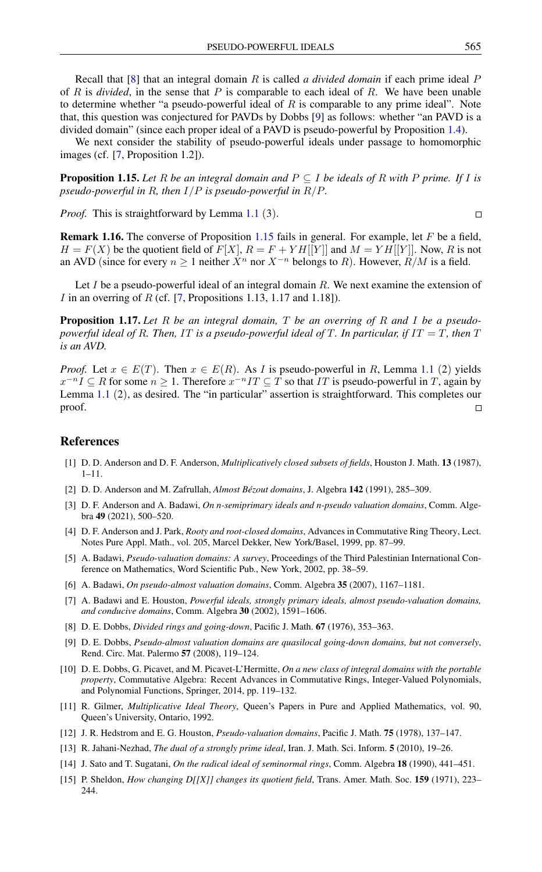Recall that [\[8\]](#page-4-16) that an integral domain R is called *a divided domain* if each prime ideal P of R is *divided*, in the sense that P is comparable to each ideal of R. We have been unable to determine whether "a pseudo-powerful ideal of  $R$  is comparable to any prime ideal". Note that, this question was conjectured for PAVDs by Dobbs [\[9\]](#page-4-17) as follows: whether "an PAVD is a divided domain" (since each proper ideal of a PAVD is pseudo-powerful by Proposition [1.4\)](#page-1-2).

We next consider the stability of pseudo-powerful ideals under passage to homomorphic images (cf. [\[7,](#page-4-8) Proposition 1.2]).

<span id="page-4-10"></span>**Proposition 1.15.** Let R be an integral domain and  $P \subseteq I$  be ideals of R with P prime. If I is *pseudo-powerful in* R*, then* I/P *is pseudo-powerful in* R/P*.*

*Proof.* This is straightforward by Lemma [1.1](#page-1-1) (3).

Remark 1.16. The converse of Proposition [1.15](#page-4-10) fails in general. For example, let F be a field,  $H = F(X)$  be the quotient field of  $F[X], R = F + YH[[Y]]$  and  $M = YH[[Y]].$  Now, R is not an AVD (since for every  $n \ge 1$  neither  $X^n$  nor  $X^{-n}$  belongs to R). However,  $R/M$  is a field.

Let  $I$  be a pseudo-powerful ideal of an integral domain  $R$ . We next examine the extension of I in an overring of R (cf.  $[7,$  Propositions 1.13, 1.17 and 1.18]).

<span id="page-4-11"></span>Proposition 1.17. *Let* R *be an integral domain,* T *be an overring of* R *and* I *be a pseudopowerful ideal of* R*. Then,* IT *is a pseudo-powerful ideal of* T*. In particular, if* IT = T*, then* T *is an AVD.*

*Proof.* Let  $x \in E(T)$ . Then  $x \in E(R)$ . As I is pseudo-powerful in R, Lemma [1.1](#page-1-1) (2) yields  $x^{-n}I \subseteq R$  for some  $n \geq 1$ . Therefore  $x^{-n}IT \subseteq T$  so that IT is pseudo-powerful in T, again by Lemma [1.1](#page-1-1) (2), as desired. The "in particular" assertion is straightforward. This completes our proof.  $\Box$ 

# <span id="page-4-0"></span>References

- <span id="page-4-5"></span>[1] D. D. Anderson and D. F. Anderson, *Multiplicatively closed subsets of fields*, Houston J. Math. 13 (1987), 1–11.
- <span id="page-4-9"></span>[2] D. D. Anderson and M. Zafrullah, *Almost Bézout domains*, J. Algebra 142 (1991), 285–309.
- <span id="page-4-13"></span>[3] D. F. Anderson and A. Badawi, *On n-semiprimary ideals and n-pseudo valuation domains*, Comm. Algebra 49 (2021), 500–520.
- <span id="page-4-7"></span>[4] D. F. Anderson and J. Park, *Rooty and root-closed domains*, Advances in Commutative Ring Theory, Lect. Notes Pure Appl. Math., vol. 205, Marcel Dekker, New York/Basel, 1999, pp. 87–99.
- <span id="page-4-4"></span>[5] A. Badawi, *Pseudo-valuation domains: A survey*, Proceedings of the Third Palestinian International Conference on Mathematics, Word Scientific Pub., New York, 2002, pp. 38–59.
- <span id="page-4-1"></span>[6] A. Badawi, *On pseudo-almost valuation domains*, Comm. Algebra 35 (2007), 1167–1181.
- <span id="page-4-8"></span>[7] A. Badawi and E. Houston, *Powerful ideals, strongly primary ideals, almost pseudo-valuation domains, and conducive domains*, Comm. Algebra 30 (2002), 1591–1606.
- <span id="page-4-16"></span>[8] D. E. Dobbs, *Divided rings and going-down*, Pacific J. Math. 67 (1976), 353–363.
- <span id="page-4-17"></span>[9] D. E. Dobbs, *Pseudo-almost valuation domains are quasilocal going-down domains, but not conversely*, Rend. Circ. Mat. Palermo 57 (2008), 119–124.
- <span id="page-4-15"></span>[10] D. E. Dobbs, G. Picavet, and M. Picavet-L'Hermitte, *On a new class of integral domains with the portable property*, Commutative Algebra: Recent Advances in Commutative Rings, Integer-Valued Polynomials, and Polynomial Functions, Springer, 2014, pp. 119–132.
- <span id="page-4-12"></span>[11] R. Gilmer, *Multiplicative Ideal Theory*, Queen's Papers in Pure and Applied Mathematics, vol. 90, Queen's University, Ontario, 1992.
- <span id="page-4-2"></span>[12] J. R. Hedstrom and E. G. Houston, *Pseudo-valuation domains*, Pacific J. Math. 75 (1978), 137–147.
- <span id="page-4-3"></span>[13] R. Jahani-Nezhad, *The dual of a strongly prime ideal*, Iran. J. Math. Sci. Inform. 5 (2010), 19–26.
- <span id="page-4-6"></span>[14] J. Sato and T. Sugatani, *On the radical ideal of seminormal rings*, Comm. Algebra 18 (1990), 441–451.
- <span id="page-4-14"></span>[15] P. Sheldon, *How changing D[[X]] changes its quotient field*, Trans. Amer. Math. Soc. 159 (1971), 223– 244.

 $\Box$